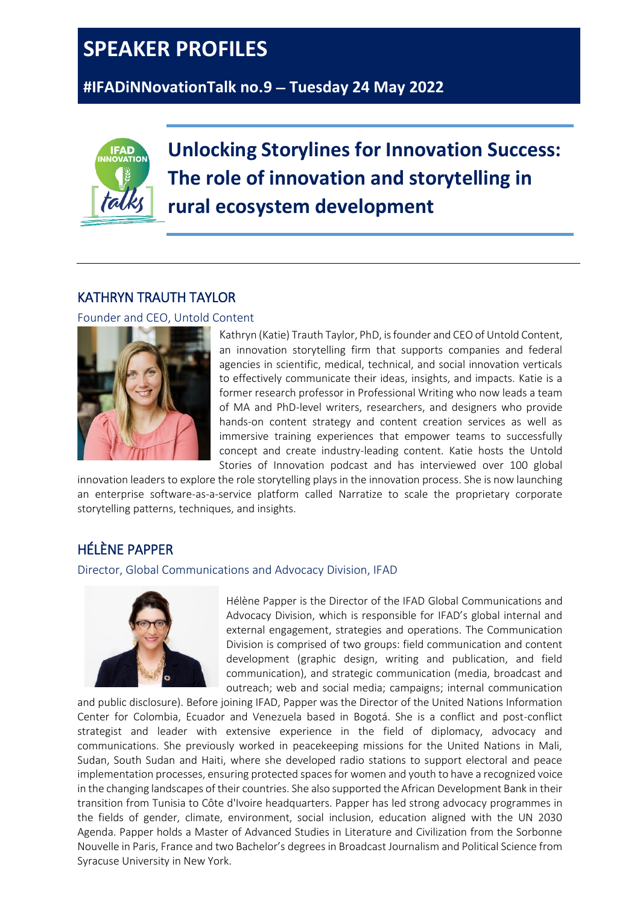## **SPEAKER PROFILES**

**#IFADiNNovationTalk no.9** − **Tuesday 24 May 2022**



**Unlocking Storylines for Innovation Success: The role of innovation and storytelling in rural ecosystem development**

## KATHRYN TRAUTH TAYLOR

Founder and CEO, Untold Content



Kathryn (Katie) Trauth Taylor, PhD, is founder and CEO of Untold Content, an innovation storytelling firm that supports companies and federal agencies in scientific, medical, technical, and social innovation verticals to effectively communicate their ideas, insights, and impacts. Katie is a former research professor in Professional Writing who now leads a team of MA and PhD-level writers, researchers, and designers who provide hands-on content strategy and content creation services as well as immersive training experiences that empower teams to successfully concept and create industry-leading content. Katie hosts the Untold Stories of Innovation podcast and has interviewed over 100 global

innovation leaders to explore the role storytelling plays in the innovation process. She is now launching an enterprise software-as-a-service platform called Narratize to scale the proprietary corporate storytelling patterns, techniques, and insights.

## HÉLÈNE PAPPER

Director, Global Communications and Advocacy Division, IFAD



Hélène Papper is the Director of the IFAD Global Communications and Advocacy Division, which is responsible for IFAD's global internal and external engagement, strategies and operations. The Communication Division is comprised of two groups: field communication and content development (graphic design, writing and publication, and field communication), and strategic communication (media, broadcast and outreach; web and social media; campaigns; internal communication

and public disclosure). Before joining IFAD, Papper was the Director of the United Nations Information Center for Colombia, Ecuador and Venezuela based in Bogotá. She is a conflict and post-conflict strategist and leader with extensive experience in the field of diplomacy, advocacy and communications. She previously worked in peacekeeping missions for the United Nations in Mali, Sudan, South Sudan and Haiti, where she developed radio stations to support electoral and peace implementation processes, ensuring protected spaces for women and youth to have a recognized voice in the changing landscapes of their countries. She also supported the African Development Bank in their transition from Tunisia to Côte d'Ivoire headquarters. Papper has led strong advocacy programmes in the fields of gender, climate, environment, social inclusion, education aligned with the UN 2030 Agenda. Papper holds a Master of Advanced Studies in Literature and Civilization from the Sorbonne Nouvelle in Paris, France and two Bachelor's degrees in Broadcast Journalism and Political Science from Syracuse University in New York.